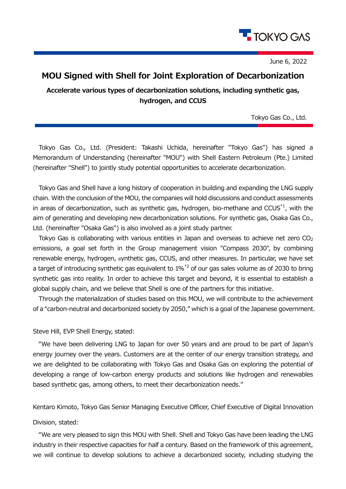

June 6, 2022

## **MOU Signed with Shell for Joint Exploration of Decarbonization**

**Accelerate various types of decarbonization solutions, including synthetic gas, hydrogen, and CCUS**

Tokyo Gas Co., Ltd.

Tokyo Gas Co., Ltd. (President: Takashi Uchida, hereinafter "Tokyo Gas") has signed a Memorandum of Understanding (hereinafter "MOU") with Shell Eastern Petroleum (Pte.) Limited (hereinafter "Shell") to jointly study potential opportunities to accelerate decarbonization.

Tokyo Gas and Shell have a long history of cooperation in building and expanding the LNG supply chain. With the conclusion of the MOU, the companies will hold discussions and conduct assessments in areas of decarbonization, such as synthetic gas, hydrogen, bio-methane and CCUS $*1$ , with the aim of generating and developing new decarbonization solutions. For synthetic gas, Osaka Gas Co., Ltd. (hereinafter "Osaka Gas") is also involved as a joint study partner.

Tokyo Gas is collaborating with various entities in Japan and overseas to achieve net zero  $CO<sub>2</sub>$ emissions, a goal set forth in the Group management vision "Compass 2030", by combining renewable energy, hydrogen, synthetic gas, CCUS, and other measures. In particular, we have set a target of introducing synthetic gas equivalent to  $1\%$ <sup>2</sup> of our gas sales volume as of 2030 to bring synthetic gas into reality. In order to achieve this target and beyond, it is essential to establish a global supply chain, and we believe that Shell is one of the partners for this initiative.

Through the materialization of studies based on this MOU, we will contribute to the achievement of a "carbon-neutral and decarbonized society by 2050," which is a goal of the Japanese government.

## Steve Hill, EVP Shell Energy, stated:

"We have been delivering LNG to Japan for over 50 years and are proud to be part of Japan's energy journey over the years. Customers are at the center of our energy transition strategy, and we are delighted to be collaborating with Tokyo Gas and Osaka Gas on exploring the potential of developing a range of low-carbon energy products and solutions like hydrogen and renewables based synthetic gas, among others, to meet their decarbonization needs."

Kentaro Kimoto, Tokyo Gas Senior Managing Executive Officer, Chief Executive of Digital Innovation

## Division, stated:

"We are very pleased to sign this MOU with Shell. Shell and Tokyo Gas have been leading the LNG industry in their respective capacities for half a century. Based on the framework of this agreement, we will continue to develop solutions to achieve a decarbonized society, including studying the